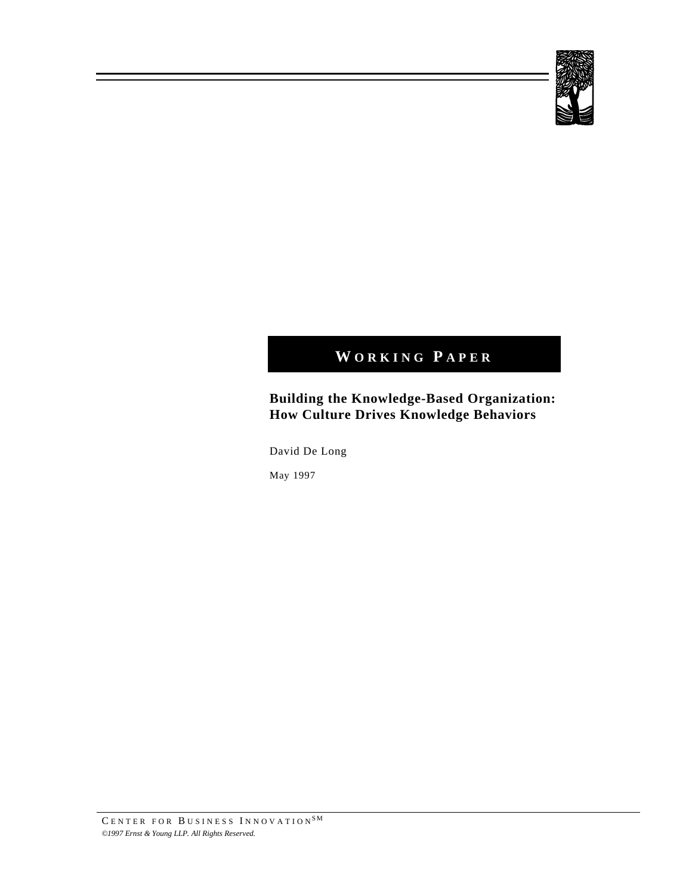

# **W ORKING P APER**

# **Building the Knowledge-Based Organization: How Culture Drives Knowledge Behaviors**

David De Long

May 1997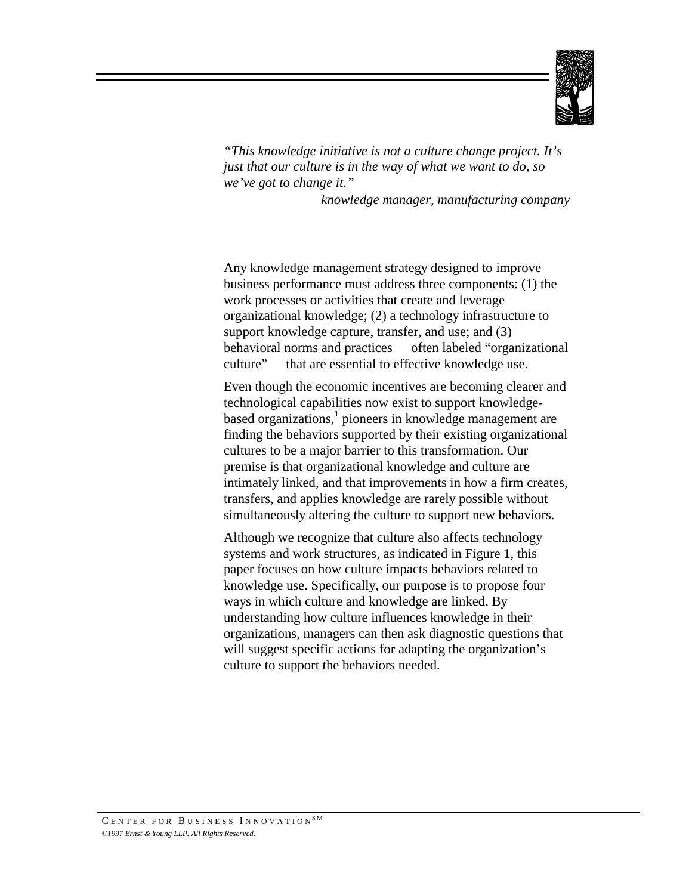

*"This knowledge initiative is not a culture change project. It's just that our culture is in the way of what we want to do, so we've got to change it."*

 *knowledge manager, manufacturing company*

Any knowledge management strategy designed to improve business performance must address three components: (1) the work processes or activities that create and leverage organizational knowledge; (2) a technology infrastructure to support knowledge capture, transfer, and use; and (3) behavioral norms and practices — often labeled "organizational culture" — that are essential to effective knowledge use.

Even though the economic incentives are becoming clearer and technological capabilities now exist to support knowledgebased organizations,<sup>1</sup> pioneers in knowledge management are finding the behaviors supported by their existing organizational cultures to be a major barrier to this transformation. Our premise is that organizational knowledge and culture are intimately linked, and that improvements in how a firm creates, transfers, and applies knowledge are rarely possible without simultaneously altering the culture to support new behaviors.

Although we recognize that culture also affects technology systems and work structures, as indicated in Figure 1, this paper focuses on how culture impacts behaviors related to knowledge use. Specifically, our purpose is to propose four ways in which culture and knowledge are linked. By understanding how culture influences knowledge in their organizations, managers can then ask diagnostic questions that will suggest specific actions for adapting the organization's culture to support the behaviors needed.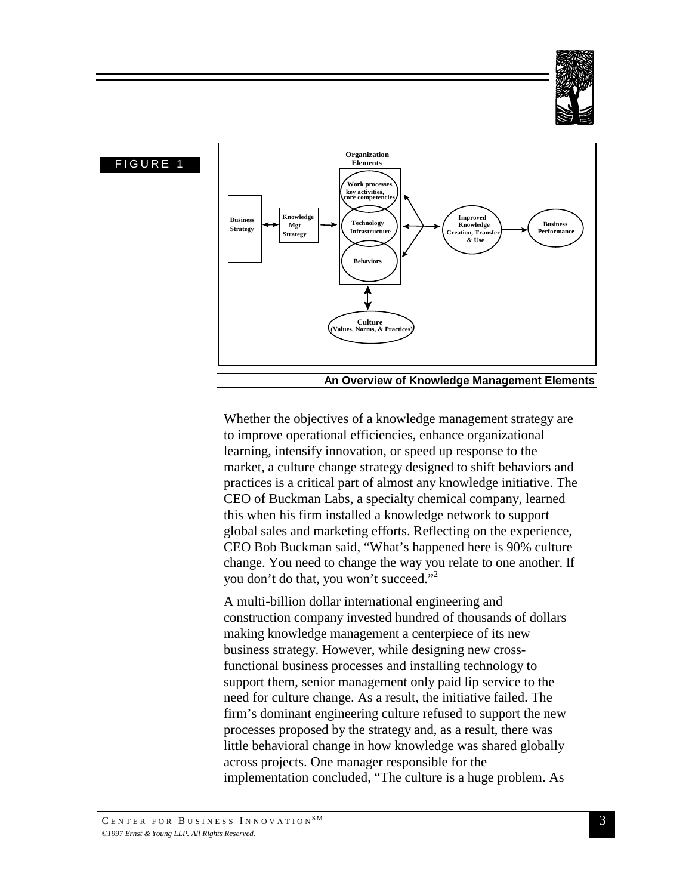



Whether the objectives of a knowledge management strategy are to improve operational efficiencies, enhance organizational learning, intensify innovation, or speed up response to the market, a culture change strategy designed to shift behaviors and practices is a critical part of almost any knowledge initiative. The CEO of Buckman Labs, a specialty chemical company, learned this when his firm installed a knowledge network to support global sales and marketing efforts. Reflecting on the experience, CEO Bob Buckman said, "What's happened here is 90% culture change. You need to change the way you relate to one another. If you don't do that, you won't succeed."<sup>2</sup>

A multi-billion dollar international engineering and construction company invested hundred of thousands of dollars making knowledge management a centerpiece of its new business strategy. However, while designing new crossfunctional business processes and installing technology to support them, senior management only paid lip service to the need for culture change. As a result, the initiative failed. The firm's dominant engineering culture refused to support the new processes proposed by the strategy and, as a result, there was little behavioral change in how knowledge was shared globally across projects. One manager responsible for the implementation concluded, "The culture is a huge problem. As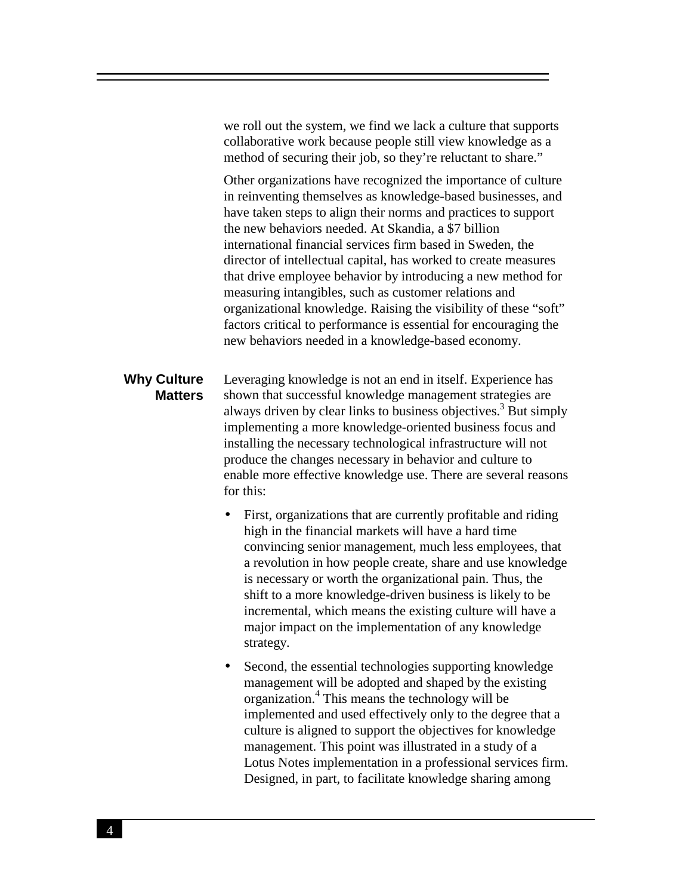we roll out the system, we find we lack a culture that supports collaborative work because people still view knowledge as a method of securing their job, so they're reluctant to share."

Other organizations have recognized the importance of culture in reinventing themselves as knowledge-based businesses, and have taken steps to align their norms and practices to support the new behaviors needed. At Skandia, a \$7 billion international financial services firm based in Sweden, the director of intellectual capital, has worked to create measures that drive employee behavior by introducing a new method for measuring intangibles, such as customer relations and organizational knowledge. Raising the visibility of these "soft" factors critical to performance is essential for encouraging the new behaviors needed in a knowledge-based economy.

#### **Why Culture Matters** Leveraging knowledge is not an end in itself. Experience has shown that successful knowledge management strategies are always driven by clear links to business objectives.<sup>3</sup> But simply implementing a more knowledge-oriented business focus and installing the necessary technological infrastructure will not produce the changes necessary in behavior and culture to enable more effective knowledge use. There are several reasons for this:

- First, organizations that are currently profitable and riding high in the financial markets will have a hard time convincing senior management, much less employees, that a revolution in how people create, share and use knowledge is necessary or worth the organizational pain. Thus, the shift to a more knowledge-driven business is likely to be incremental, which means the existing culture will have a major impact on the implementation of any knowledge strategy.
- Second, the essential technologies supporting knowledge management will be adopted and shaped by the existing organization.<sup>4</sup> This means the technology will be implemented and used effectively only to the degree that a culture is aligned to support the objectives for knowledge management. This point was illustrated in a study of a Lotus Notes implementation in a professional services firm. Designed, in part, to facilitate knowledge sharing among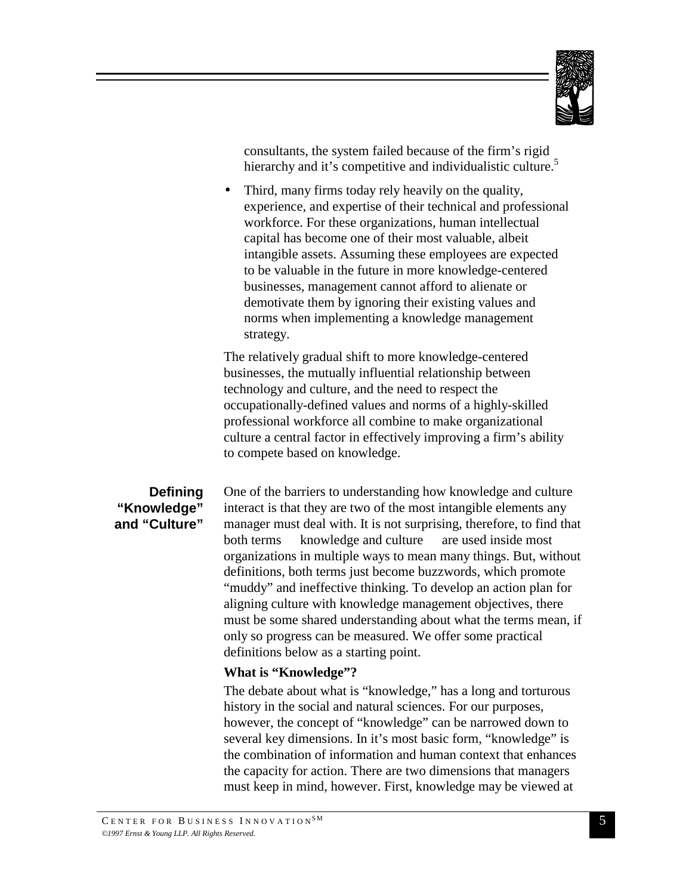

consultants, the system failed because of the firm's rigid hierarchy and it's competitive and individualistic culture.<sup>5</sup>

• Third, many firms today rely heavily on the quality, experience, and expertise of their technical and professional workforce. For these organizations, human intellectual capital has become one of their most valuable, albeit intangible assets. Assuming these employees are expected to be valuable in the future in more knowledge-centered businesses, management cannot afford to alienate or demotivate them by ignoring their existing values and norms when implementing a knowledge management strategy.

The relatively gradual shift to more knowledge-centered businesses, the mutually influential relationship between technology and culture, and the need to respect the occupationally-defined values and norms of a highly-skilled professional workforce all combine to make organizational culture a central factor in effectively improving a firm's ability to compete based on knowledge.

## **Defining "Knowledge" and "Culture"**

One of the barriers to understanding how knowledge and culture interact is that they are two of the most intangible elements any manager must deal with. It is not surprising, therefore, to find that both terms — knowledge and culture — are used inside most organizations in multiple ways to mean many things. But, without definitions, both terms just become buzzwords, which promote "muddy" and ineffective thinking. To develop an action plan for aligning culture with knowledge management objectives, there must be some shared understanding about what the terms mean, if only so progress can be measured. We offer some practical definitions below as a starting point.

#### **What is "Knowledge"?**

The debate about what is "knowledge," has a long and torturous history in the social and natural sciences. For our purposes, however, the concept of "knowledge" can be narrowed down to several key dimensions. In it's most basic form, "knowledge" is the combination of information and human context that enhances the capacity for action. There are two dimensions that managers must keep in mind, however. First, knowledge may be viewed at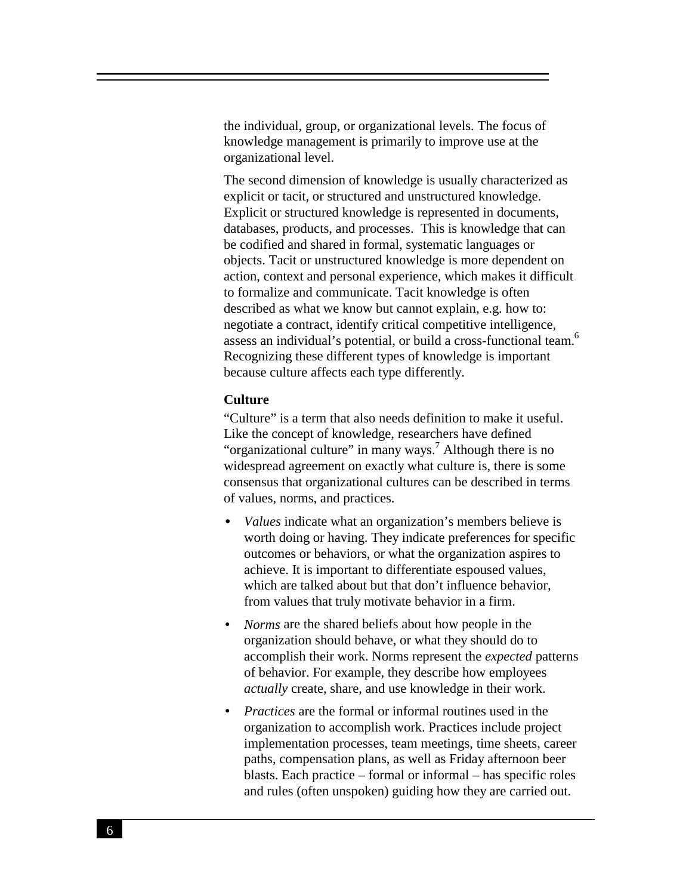the individual, group, or organizational levels. The focus of knowledge management is primarily to improve use at the organizational level.

The second dimension of knowledge is usually characterized as explicit or tacit, or structured and unstructured knowledge. Explicit or structured knowledge is represented in documents, databases, products, and processes. This is knowledge that can be codified and shared in formal, systematic languages or objects. Tacit or unstructured knowledge is more dependent on action, context and personal experience, which makes it difficult to formalize and communicate. Tacit knowledge is often described as what we know but cannot explain, e.g. how to: negotiate a contract, identify critical competitive intelligence, assess an individual's potential, or build a cross-functional team.<sup>6</sup> Recognizing these different types of knowledge is important because culture affects each type differently.

#### **Culture**

"Culture" is a term that also needs definition to make it useful. Like the concept of knowledge, researchers have defined "organizational culture" in many ways.<sup>7</sup> Although there is no widespread agreement on exactly what culture is, there is some consensus that organizational cultures can be described in terms of values, norms, and practices.

- *Values* indicate what an organization's members believe is worth doing or having. They indicate preferences for specific outcomes or behaviors, or what the organization aspires to achieve. It is important to differentiate espoused values, which are talked about but that don't influence behavior, from values that truly motivate behavior in a firm.
- *Norms* are the shared beliefs about how people in the organization should behave, or what they should do to accomplish their work. Norms represent the *expected* patterns of behavior. For example, they describe how employees *actually* create, share, and use knowledge in their work.
- *Practices* are the formal or informal routines used in the organization to accomplish work. Practices include project implementation processes, team meetings, time sheets, career paths, compensation plans, as well as Friday afternoon beer blasts. Each practice – formal or informal – has specific roles and rules (often unspoken) guiding how they are carried out.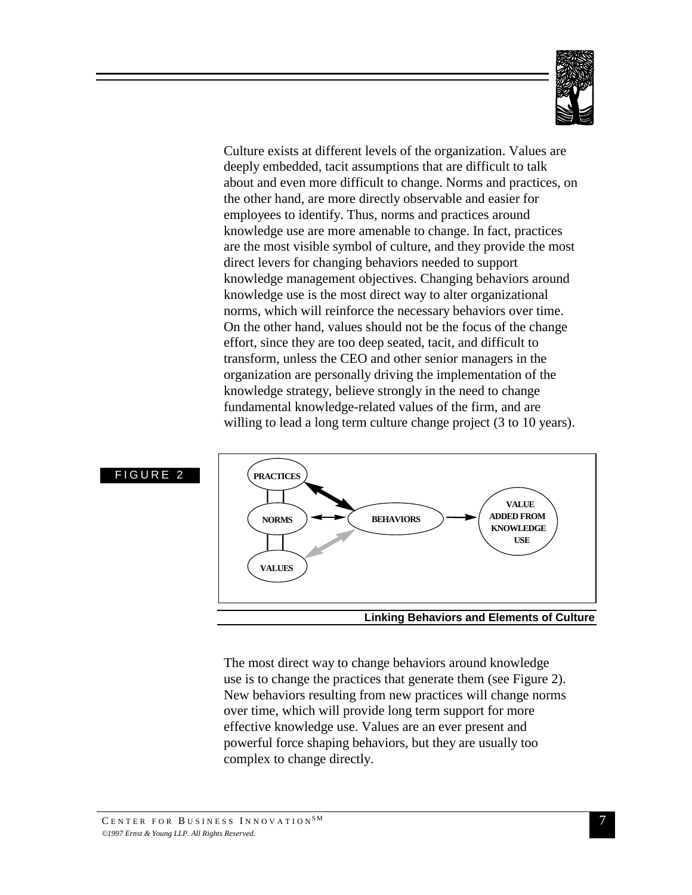

Culture exists at different levels of the organization. Values are deeply embedded, tacit assumptions that are difficult to talk about and even more difficult to change. Norms and practices, on the other hand, are more directly observable and easier for employees to identify. Thus, norms and practices around knowledge use are more amenable to change. In fact, practices are the most visible symbol of culture, and they provide the most direct levers for changing behaviors needed to support knowledge management objectives. Changing behaviors around knowledge use is the most direct way to alter organizational norms, which will reinforce the necessary behaviors over time. On the other hand, values should not be the focus of the change effort, since they are too deep seated, tacit, and difficult to transform, unless the CEO and other senior managers in the organization are personally driving the implementation of the knowledge strategy, believe strongly in the need to change fundamental knowledge-related values of the firm, and are willing to lead a long term culture change project (3 to 10 years).



The most direct way to change behaviors around knowledge use is to change the practices that generate them (see Figure 2). New behaviors resulting from new practices will change norms over time, which will provide long term support for more effective knowledge use. Values are an ever present and powerful force shaping behaviors, but they are usually too complex to change directly.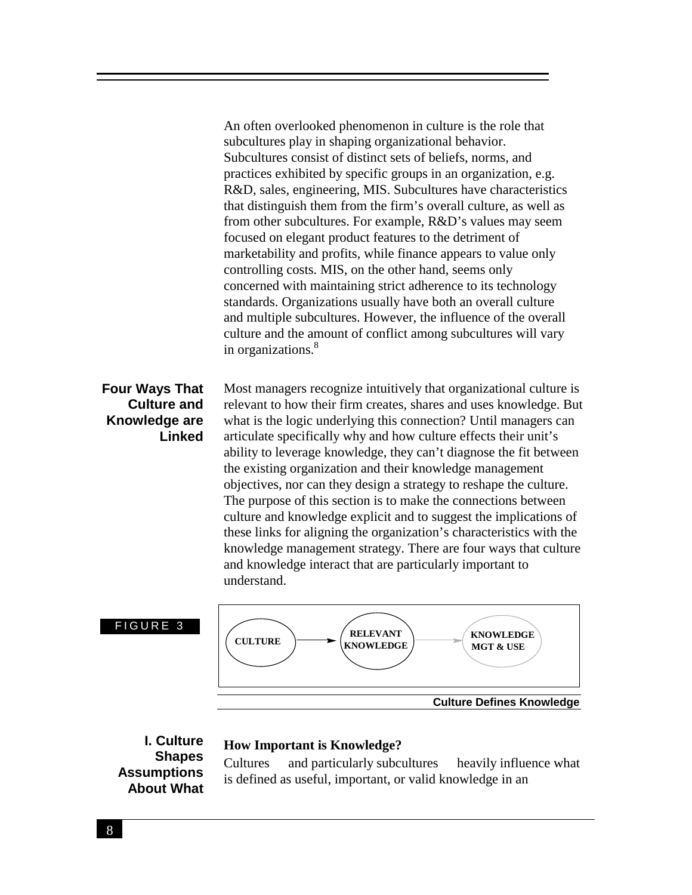An often overlooked phenomenon in culture is the role that subcultures play in shaping organizational behavior. Subcultures consist of distinct sets of beliefs, norms, and practices exhibited by specific groups in an organization, e.g. R&D, sales, engineering, MIS. Subcultures have characteristics that distinguish them from the firm's overall culture, as well as from other subcultures. For example, R&D's values may seem focused on elegant product features to the detriment of marketability and profits, while finance appears to value only controlling costs. MIS, on the other hand, seems only concerned with maintaining strict adherence to its technology standards. Organizations usually have both an overall culture and multiple subcultures. However, the influence of the overall culture and the amount of conflict among subcultures will vary in organizations.<sup>8</sup>

# **Four Ways That Culture and Knowledge are Linked**

Most managers recognize intuitively that organizational culture is relevant to how their firm creates, shares and uses knowledge. But what is the logic underlying this connection? Until managers can articulate specifically why and how culture effects their unit's ability to leverage knowledge, they can't diagnose the fit between the existing organization and their knowledge management objectives, nor can they design a strategy to reshape the culture. The purpose of this section is to make the connections between culture and knowledge explicit and to suggest the implications of these links for aligning the organization's characteristics with the knowledge management strategy. There are four ways that culture and knowledge interact that are particularly important to understand.



## **I. Culture Shapes Assumptions About What**

#### **How Important is Knowledge?**

Cultures — and particularly subcultures — heavily influence what is defined as useful, important, or valid knowledge in an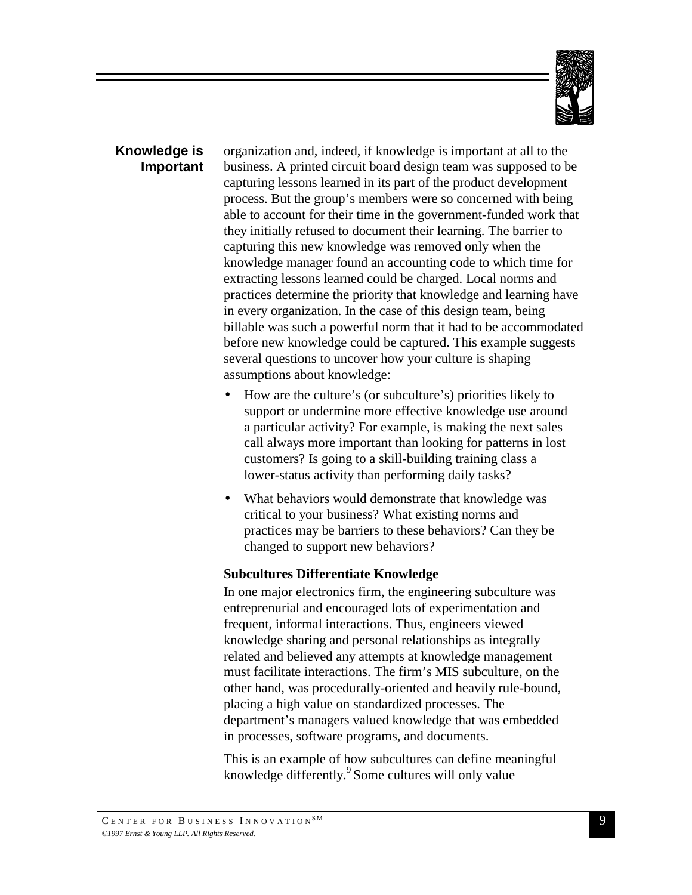

## **Knowledge is Important**

organization and, indeed, if knowledge is important at all to the business. A printed circuit board design team was supposed to be capturing lessons learned in its part of the product development process. But the group's members were so concerned with being able to account for their time in the government-funded work that they initially refused to document their learning. The barrier to capturing this new knowledge was removed only when the knowledge manager found an accounting code to which time for extracting lessons learned could be charged. Local norms and practices determine the priority that knowledge and learning have in every organization. In the case of this design team, being billable was such a powerful norm that it had to be accommodated before new knowledge could be captured. This example suggests several questions to uncover how your culture is shaping assumptions about knowledge:

- How are the culture's (or subculture's) priorities likely to support or undermine more effective knowledge use around a particular activity? For example, is making the next sales call always more important than looking for patterns in lost customers? Is going to a skill-building training class a lower-status activity than performing daily tasks?
- What behaviors would demonstrate that knowledge was critical to your business? What existing norms and practices may be barriers to these behaviors? Can they be changed to support new behaviors?

## **Subcultures Differentiate Knowledge**

In one major electronics firm, the engineering subculture was entreprenurial and encouraged lots of experimentation and frequent, informal interactions. Thus, engineers viewed knowledge sharing and personal relationships as integrally related and believed any attempts at knowledge management must facilitate interactions. The firm's MIS subculture, on the other hand, was procedurally-oriented and heavily rule-bound, placing a high value on standardized processes. The department's managers valued knowledge that was embedded in processes, software programs, and documents.

This is an example of how subcultures can define meaningful knowledge differently.<sup>9</sup> Some cultures will only value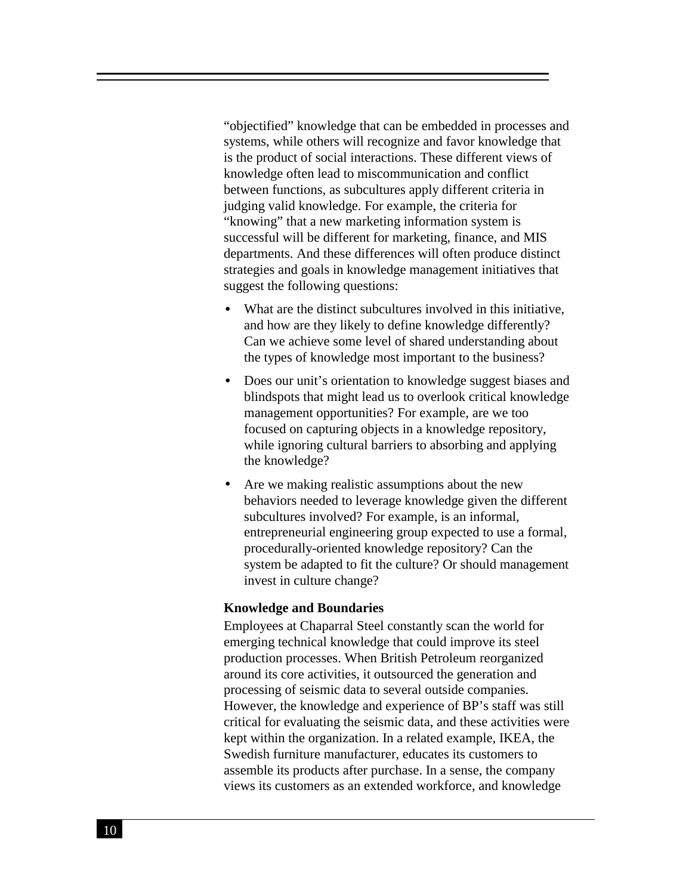"objectified" knowledge that can be embedded in processes and systems, while others will recognize and favor knowledge that is the product of social interactions. These different views of knowledge often lead to miscommunication and conflict between functions, as subcultures apply different criteria in judging valid knowledge. For example, the criteria for "knowing" that a new marketing information system is successful will be different for marketing, finance, and MIS departments. And these differences will often produce distinct strategies and goals in knowledge management initiatives that suggest the following questions:

- What are the distinct subcultures involved in this initiative, and how are they likely to define knowledge differently? Can we achieve some level of shared understanding about the types of knowledge most important to the business?
- Does our unit's orientation to knowledge suggest biases and blindspots that might lead us to overlook critical knowledge management opportunities? For example, are we too focused on capturing objects in a knowledge repository, while ignoring cultural barriers to absorbing and applying the knowledge?
- Are we making realistic assumptions about the new behaviors needed to leverage knowledge given the different subcultures involved? For example, is an informal, entrepreneurial engineering group expected to use a formal, procedurally-oriented knowledge repository? Can the system be adapted to fit the culture? Or should management invest in culture change?

#### **Knowledge and Boundaries**

Employees at Chaparral Steel constantly scan the world for emerging technical knowledge that could improve its steel production processes. When British Petroleum reorganized around its core activities, it outsourced the generation and processing of seismic data to several outside companies. However, the knowledge and experience of BP's staff was still critical for evaluating the seismic data, and these activities were kept within the organization. In a related example, IKEA, the Swedish furniture manufacturer, educates its customers to assemble its products after purchase. In a sense, the company views its customers as an extended workforce, and knowledge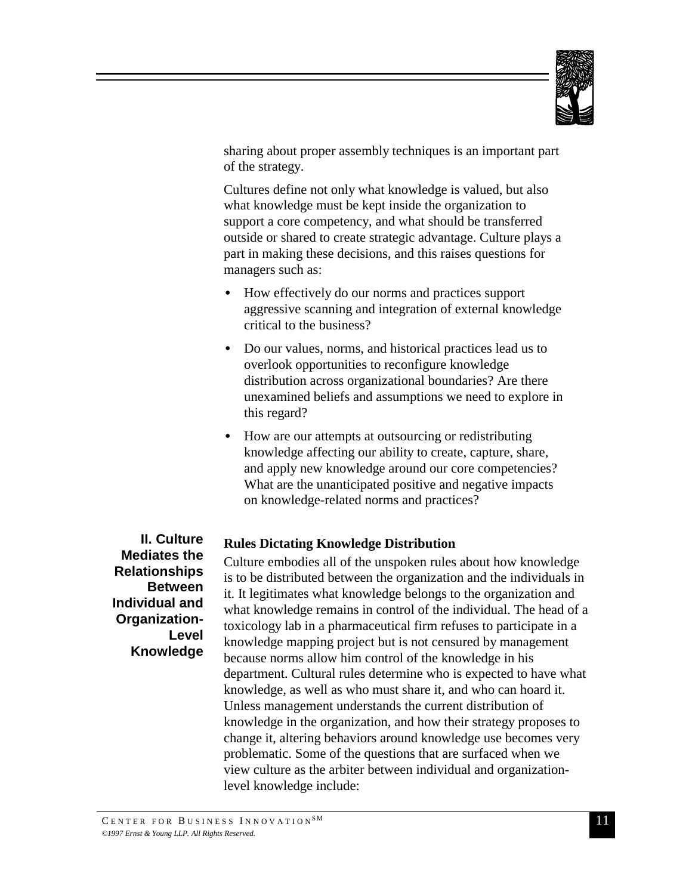

sharing about proper assembly techniques is an important part of the strategy.

Cultures define not only what knowledge is valued, but also what knowledge must be kept inside the organization to support a core competency, and what should be transferred outside or shared to create strategic advantage. Culture plays a part in making these decisions, and this raises questions for managers such as:

- How effectively do our norms and practices support aggressive scanning and integration of external knowledge critical to the business?
- Do our values, norms, and historical practices lead us to overlook opportunities to reconfigure knowledge distribution across organizational boundaries? Are there unexamined beliefs and assumptions we need to explore in this regard?
- How are our attempts at outsourcing or redistributing knowledge affecting our ability to create, capture, share, and apply new knowledge around our core competencies? What are the unanticipated positive and negative impacts on knowledge-related norms and practices?

**II. Culture Mediates the Relationships Between Individual and Organization-Level Knowledge**

# **Rules Dictating Knowledge Distribution**

Culture embodies all of the unspoken rules about how knowledge is to be distributed between the organization and the individuals in it. It legitimates what knowledge belongs to the organization and what knowledge remains in control of the individual. The head of a toxicology lab in a pharmaceutical firm refuses to participate in a knowledge mapping project but is not censured by management because norms allow him control of the knowledge in his department. Cultural rules determine who is expected to have what knowledge, as well as who must share it, and who can hoard it. Unless management understands the current distribution of knowledge in the organization, and how their strategy proposes to change it, altering behaviors around knowledge use becomes very problematic. Some of the questions that are surfaced when we view culture as the arbiter between individual and organizationlevel knowledge include: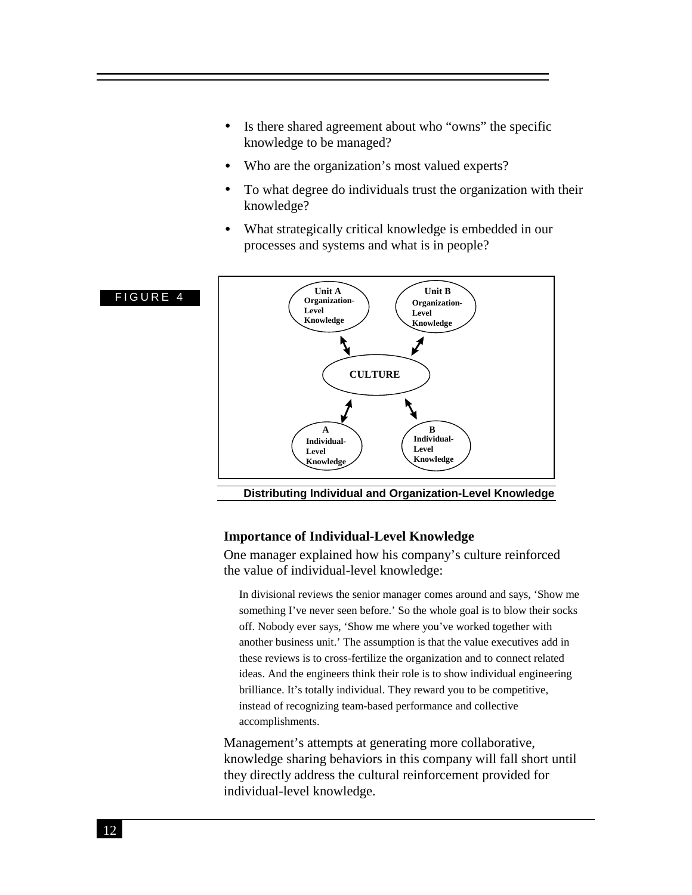- Is there shared agreement about who "owns" the specific knowledge to be managed?
- Who are the organization's most valued experts?
- To what degree do individuals trust the organization with their knowledge?
- What strategically critical knowledge is embedded in our processes and systems and what is in people?



**Distributing Individual and Organization-Level Knowledge**

#### **Importance of Individual-Level Knowledge**

One manager explained how his company's culture reinforced the value of individual-level knowledge:

In divisional reviews the senior manager comes around and says, 'Show me something I've never seen before.' So the whole goal is to blow their socks off. Nobody ever says, 'Show me where you've worked together with another business unit.' The assumption is that the value executives add in these reviews is to cross-fertilize the organization and to connect related ideas. And the engineers think their role is to show individual engineering brilliance. It's totally individual. They reward you to be competitive, instead of recognizing team-based performance and collective accomplishments.

Management's attempts at generating more collaborative, knowledge sharing behaviors in this company will fall short until they directly address the cultural reinforcement provided for individual-level knowledge.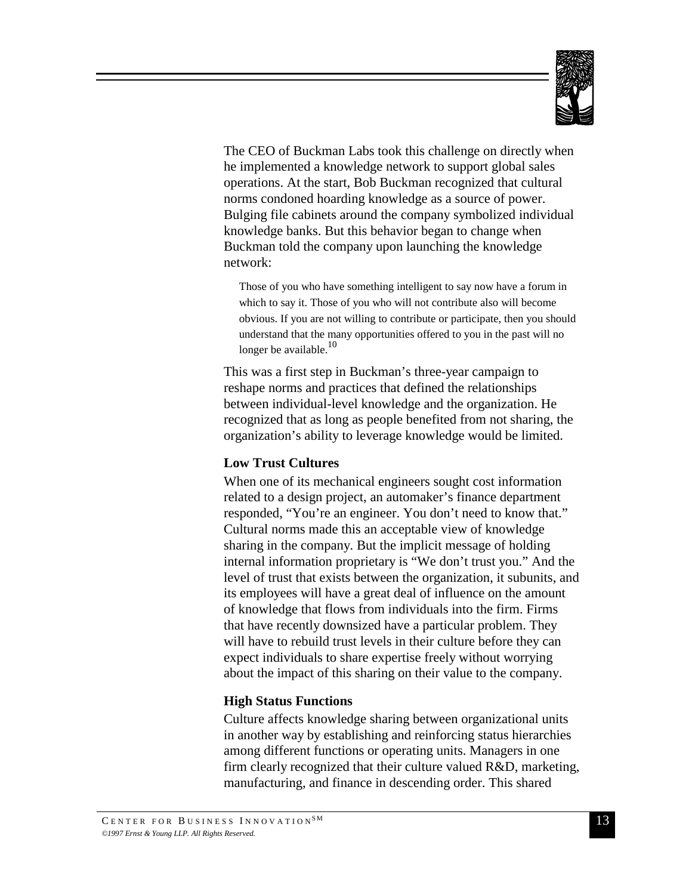

The CEO of Buckman Labs took this challenge on directly when he implemented a knowledge network to support global sales operations. At the start, Bob Buckman recognized that cultural norms condoned hoarding knowledge as a source of power. Bulging file cabinets around the company symbolized individual knowledge banks. But this behavior began to change when Buckman told the company upon launching the knowledge network:

Those of you who have something intelligent to say now have a forum in which to say it. Those of you who will not contribute also will become obvious. If you are not willing to contribute or participate, then you should understand that the many opportunities offered to you in the past will no longer be available. $10$ 

This was a first step in Buckman's three-year campaign to reshape norms and practices that defined the relationships between individual-level knowledge and the organization. He recognized that as long as people benefited from not sharing, the organization's ability to leverage knowledge would be limited.

## **Low Trust Cultures**

When one of its mechanical engineers sought cost information related to a design project, an automaker's finance department responded, "You're an engineer. You don't need to know that." Cultural norms made this an acceptable view of knowledge sharing in the company. But the implicit message of holding internal information proprietary is "We don't trust you." And the level of trust that exists between the organization, it subunits, and its employees will have a great deal of influence on the amount of knowledge that flows from individuals into the firm. Firms that have recently downsized have a particular problem. They will have to rebuild trust levels in their culture before they can expect individuals to share expertise freely without worrying about the impact of this sharing on their value to the company.

## **High Status Functions**

Culture affects knowledge sharing between organizational units in another way by establishing and reinforcing status hierarchies among different functions or operating units. Managers in one firm clearly recognized that their culture valued R&D, marketing, manufacturing, and finance in descending order. This shared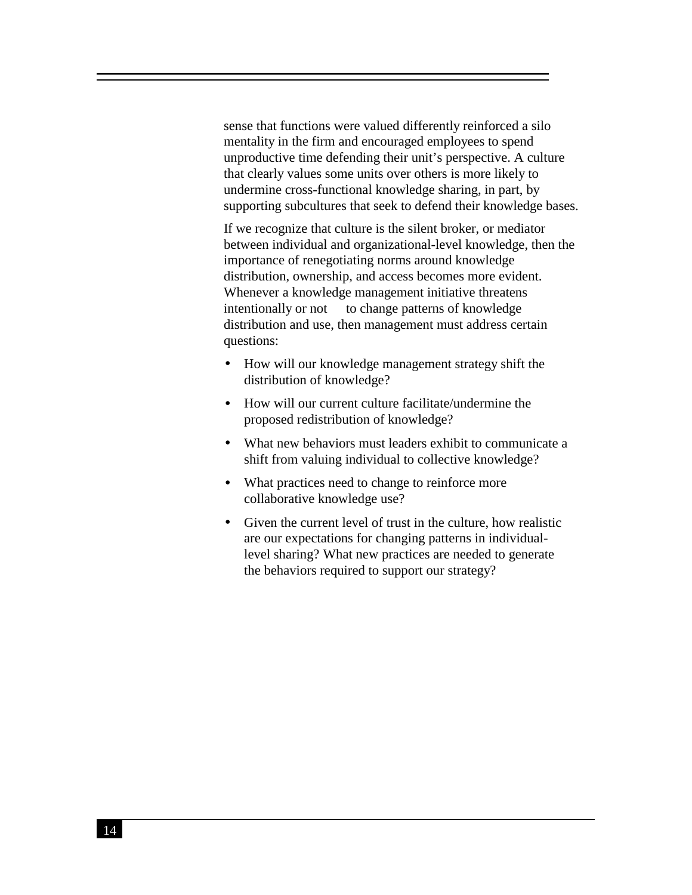sense that functions were valued differently reinforced a silo mentality in the firm and encouraged employees to spend unproductive time defending their unit's perspective. A culture that clearly values some units over others is more likely to undermine cross-functional knowledge sharing, in part, by supporting subcultures that seek to defend their knowledge bases.

If we recognize that culture is the silent broker, or mediator between individual and organizational-level knowledge, then the importance of renegotiating norms around knowledge distribution, ownership, and access becomes more evident. Whenever a knowledge management initiative threatens intentionally or not — to change patterns of knowledge distribution and use, then management must address certain questions:

- How will our knowledge management strategy shift the distribution of knowledge?
- How will our current culture facilitate/undermine the proposed redistribution of knowledge?
- What new behaviors must leaders exhibit to communicate a shift from valuing individual to collective knowledge?
- What practices need to change to reinforce more collaborative knowledge use?
- Given the current level of trust in the culture, how realistic are our expectations for changing patterns in individuallevel sharing? What new practices are needed to generate the behaviors required to support our strategy?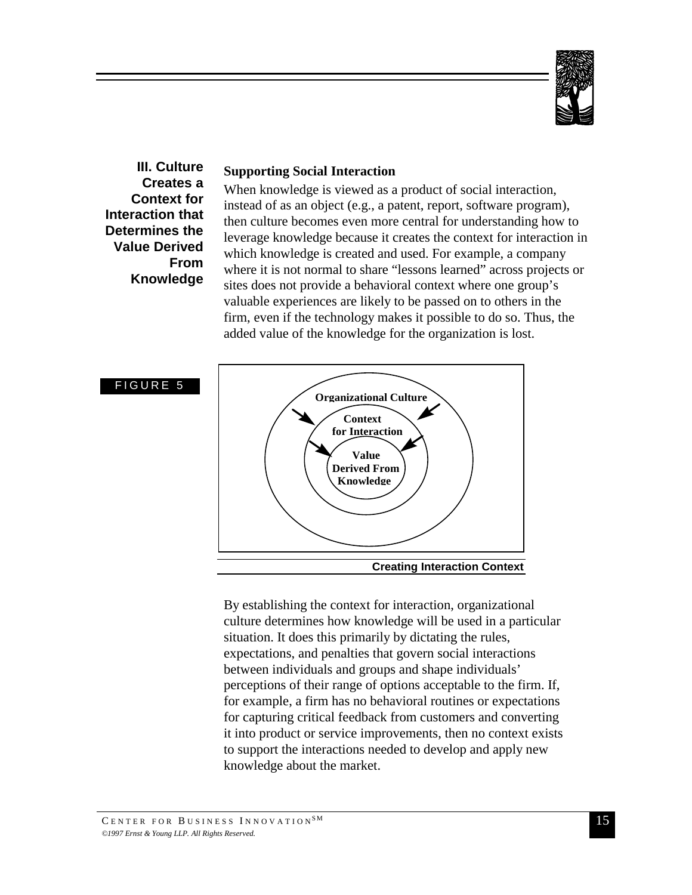

**III. Culture Creates a Context for Interaction that Determines the Value Derived From Knowledge**

## **Supporting Social Interaction**

When knowledge is viewed as a product of social interaction, instead of as an object (e.g., a patent, report, software program), then culture becomes even more central for understanding how to leverage knowledge because it creates the context for interaction in which knowledge is created and used. For example, a company where it is not normal to share "lessons learned" across projects or sites does not provide a behavioral context where one group's valuable experiences are likely to be passed on to others in the firm, even if the technology makes it possible to do so. Thus, the added value of the knowledge for the organization is lost.



By establishing the context for interaction, organizational culture determines how knowledge will be used in a particular situation. It does this primarily by dictating the rules, expectations, and penalties that govern social interactions between individuals and groups and shape individuals' perceptions of their range of options acceptable to the firm. If, for example, a firm has no behavioral routines or expectations for capturing critical feedback from customers and converting it into product or service improvements, then no context exists to support the interactions needed to develop and apply new knowledge about the market.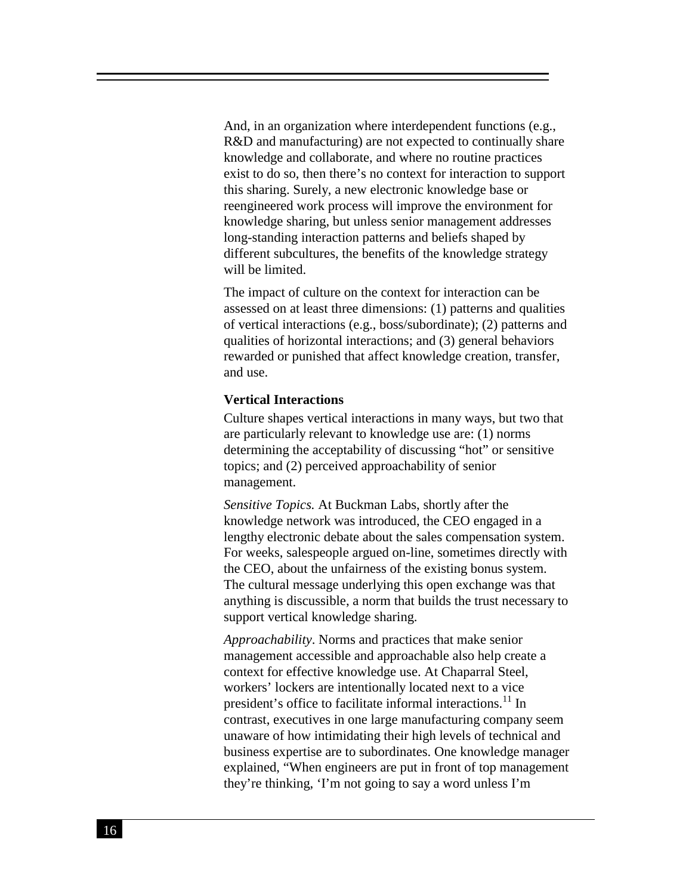And, in an organization where interdependent functions (e.g., R&D and manufacturing) are not expected to continually share knowledge and collaborate, and where no routine practices exist to do so, then there's no context for interaction to support this sharing. Surely, a new electronic knowledge base or reengineered work process will improve the environment for knowledge sharing, but unless senior management addresses long-standing interaction patterns and beliefs shaped by different subcultures, the benefits of the knowledge strategy will be limited.

The impact of culture on the context for interaction can be assessed on at least three dimensions: (1) patterns and qualities of vertical interactions (e.g., boss/subordinate); (2) patterns and qualities of horizontal interactions; and (3) general behaviors rewarded or punished that affect knowledge creation, transfer, and use.

#### **Vertical Interactions**

Culture shapes vertical interactions in many ways, but two that are particularly relevant to knowledge use are: (1) norms determining the acceptability of discussing "hot" or sensitive topics; and (2) perceived approachability of senior management.

*Sensitive Topics.* At Buckman Labs, shortly after the knowledge network was introduced, the CEO engaged in a lengthy electronic debate about the sales compensation system. For weeks, salespeople argued on-line, sometimes directly with the CEO, about the unfairness of the existing bonus system. The cultural message underlying this open exchange was that anything is discussible, a norm that builds the trust necessary to support vertical knowledge sharing.

*Approachability*. Norms and practices that make senior management accessible and approachable also help create a context for effective knowledge use. At Chaparral Steel, workers' lockers are intentionally located next to a vice president's office to facilitate informal interactions.<sup>11</sup> In contrast, executives in one large manufacturing company seem unaware of how intimidating their high levels of technical and business expertise are to subordinates. One knowledge manager explained, "When engineers are put in front of top management they're thinking, 'I'm not going to say a word unless I'm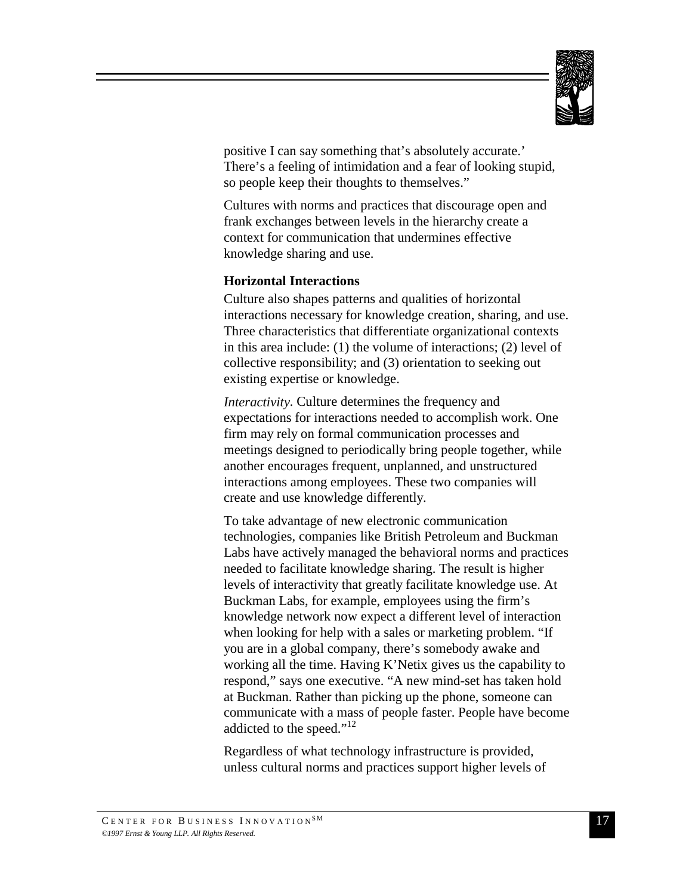

positive I can say something that's absolutely accurate.' There's a feeling of intimidation and a fear of looking stupid, so people keep their thoughts to themselves."

Cultures with norms and practices that discourage open and frank exchanges between levels in the hierarchy create a context for communication that undermines effective knowledge sharing and use.

#### **Horizontal Interactions**

Culture also shapes patterns and qualities of horizontal interactions necessary for knowledge creation, sharing, and use. Three characteristics that differentiate organizational contexts in this area include: (1) the volume of interactions; (2) level of collective responsibility; and (3) orientation to seeking out existing expertise or knowledge.

*Interactivity*. Culture determines the frequency and expectations for interactions needed to accomplish work. One firm may rely on formal communication processes and meetings designed to periodically bring people together, while another encourages frequent, unplanned, and unstructured interactions among employees. These two companies will create and use knowledge differently.

To take advantage of new electronic communication technologies, companies like British Petroleum and Buckman Labs have actively managed the behavioral norms and practices needed to facilitate knowledge sharing. The result is higher levels of interactivity that greatly facilitate knowledge use. At Buckman Labs, for example, employees using the firm's knowledge network now expect a different level of interaction when looking for help with a sales or marketing problem. "If you are in a global company, there's somebody awake and working all the time. Having K'Netix gives us the capability to respond," says one executive. "A new mind-set has taken hold at Buckman. Rather than picking up the phone, someone can communicate with a mass of people faster. People have become addicted to the speed."<sup>12</sup>

Regardless of what technology infrastructure is provided, unless cultural norms and practices support higher levels of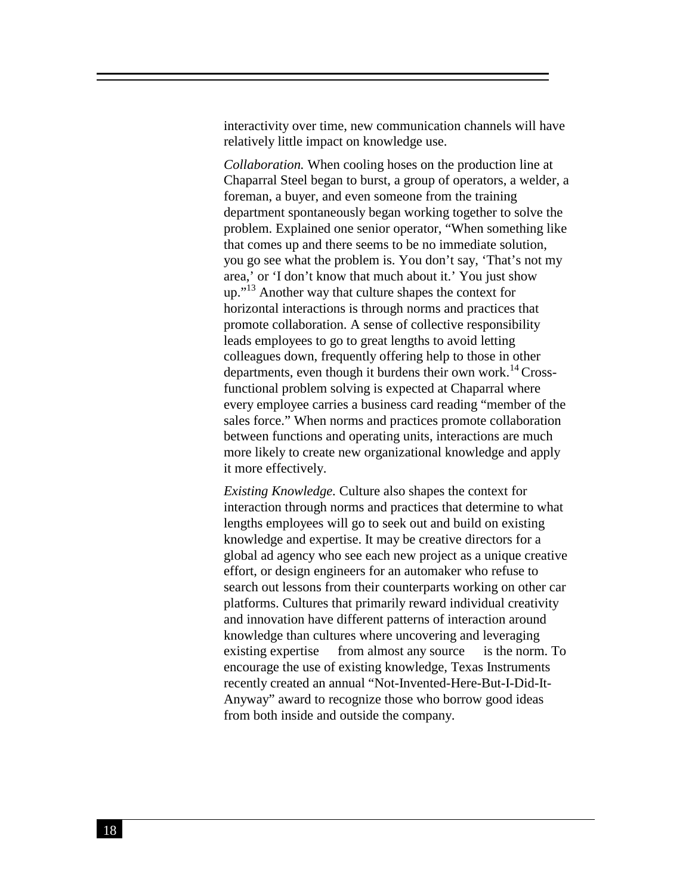interactivity over time, new communication channels will have relatively little impact on knowledge use.

*Collaboration.* When cooling hoses on the production line at Chaparral Steel began to burst, a group of operators, a welder, a foreman, a buyer, and even someone from the training department spontaneously began working together to solve the problem. Explained one senior operator, "When something like that comes up and there seems to be no immediate solution, you go see what the problem is. You don't say, 'That's not my area,' or 'I don't know that much about it.' You just show up."<sup>13</sup> Another way that culture shapes the context for horizontal interactions is through norms and practices that promote collaboration. A sense of collective responsibility leads employees to go to great lengths to avoid letting colleagues down, frequently offering help to those in other departments, even though it burdens their own work.<sup>14</sup> Crossfunctional problem solving is expected at Chaparral where every employee carries a business card reading "member of the sales force." When norms and practices promote collaboration between functions and operating units, interactions are much more likely to create new organizational knowledge and apply it more effectively.

*Existing Knowledge.* Culture also shapes the context for interaction through norms and practices that determine to what lengths employees will go to seek out and build on existing knowledge and expertise. It may be creative directors for a global ad agency who see each new project as a unique creative effort, or design engineers for an automaker who refuse to search out lessons from their counterparts working on other car platforms. Cultures that primarily reward individual creativity and innovation have different patterns of interaction around knowledge than cultures where uncovering and leveraging existing expertise — from almost any source — is the norm. To encourage the use of existing knowledge, Texas Instruments recently created an annual "Not-Invented-Here-But-I-Did-It-Anyway" award to recognize those who borrow good ideas from both inside and outside the company.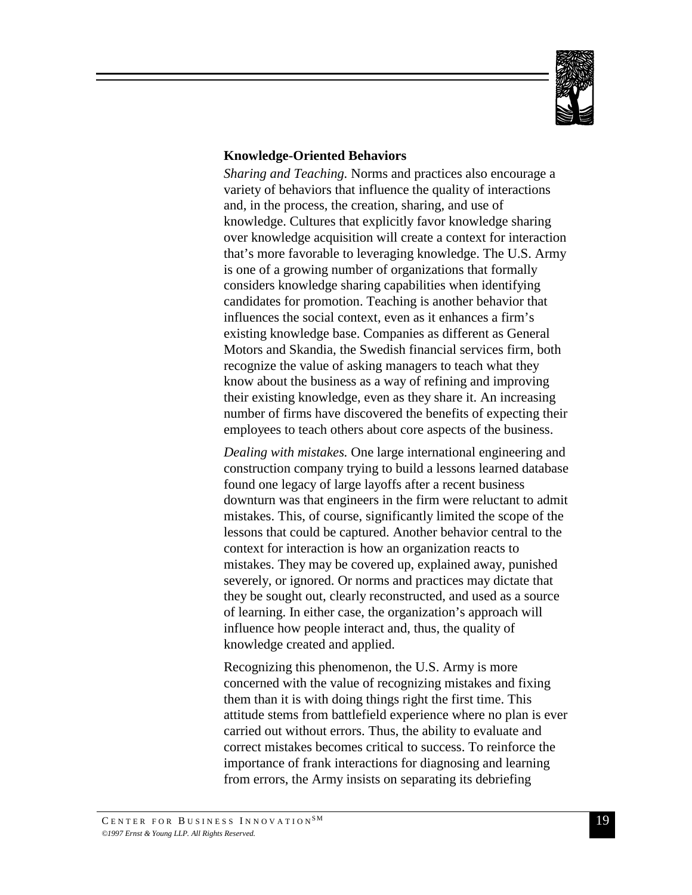

## **Knowledge-Oriented Behaviors**

*Sharing and Teaching.* Norms and practices also encourage a variety of behaviors that influence the quality of interactions and, in the process, the creation, sharing, and use of knowledge. Cultures that explicitly favor knowledge sharing over knowledge acquisition will create a context for interaction that's more favorable to leveraging knowledge. The U.S. Army is one of a growing number of organizations that formally considers knowledge sharing capabilities when identifying candidates for promotion. Teaching is another behavior that influences the social context, even as it enhances a firm's existing knowledge base. Companies as different as General Motors and Skandia, the Swedish financial services firm, both recognize the value of asking managers to teach what they know about the business as a way of refining and improving their existing knowledge, even as they share it. An increasing number of firms have discovered the benefits of expecting their employees to teach others about core aspects of the business.

*Dealing with mistakes.* One large international engineering and construction company trying to build a lessons learned database found one legacy of large layoffs after a recent business downturn was that engineers in the firm were reluctant to admit mistakes. This, of course, significantly limited the scope of the lessons that could be captured. Another behavior central to the context for interaction is how an organization reacts to mistakes. They may be covered up, explained away, punished severely, or ignored. Or norms and practices may dictate that they be sought out, clearly reconstructed, and used as a source of learning. In either case, the organization's approach will influence how people interact and, thus, the quality of knowledge created and applied.

Recognizing this phenomenon, the U.S. Army is more concerned with the value of recognizing mistakes and fixing them than it is with doing things right the first time. This attitude stems from battlefield experience where no plan is ever carried out without errors. Thus, the ability to evaluate and correct mistakes becomes critical to success. To reinforce the importance of frank interactions for diagnosing and learning from errors, the Army insists on separating its debriefing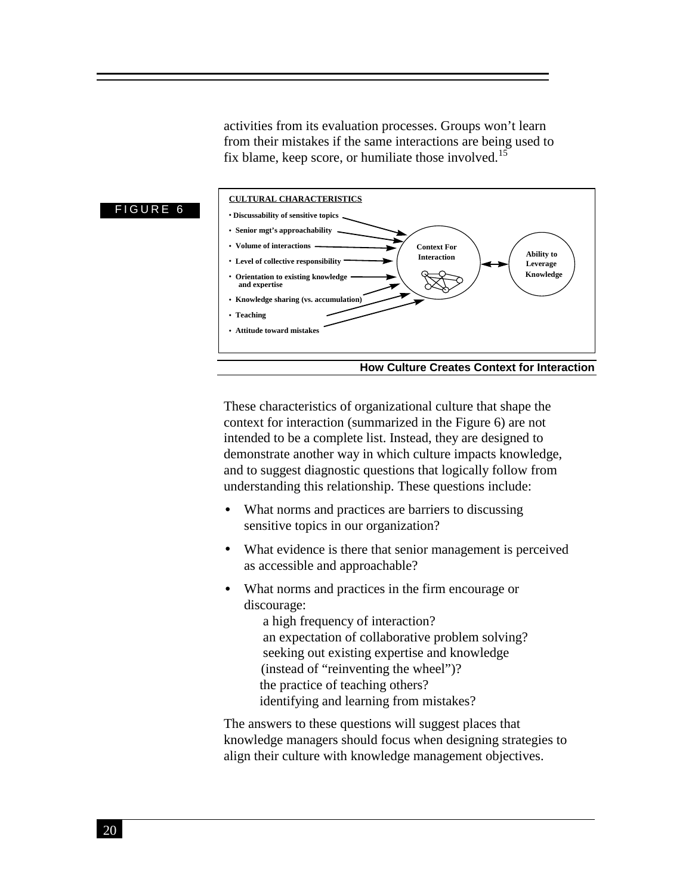activities from its evaluation processes. Groups won't learn from their mistakes if the same interactions are being used to fix blame, keep score, or humiliate those involved.<sup>15</sup>



These characteristics of organizational culture that shape the context for interaction (summarized in the Figure 6) are not intended to be a complete list. Instead, they are designed to demonstrate another way in which culture impacts knowledge, and to suggest diagnostic questions that logically follow from understanding this relationship. These questions include:

- What norms and practices are barriers to discussing sensitive topics in our organization?
- What evidence is there that senior management is perceived as accessible and approachable?
- What norms and practices in the firm encourage or discourage:
	- a high frequency of interaction?
	- an expectation of collaborative problem solving?
	- seeking out existing expertise and knowledge (instead of "reinventing the wheel")?
	-
	- the practice of teaching others?  $-$ identifying and learning from mistakes?
- The answers to these questions will suggest places that

knowledge managers should focus when designing strategies to align their culture with knowledge management objectives.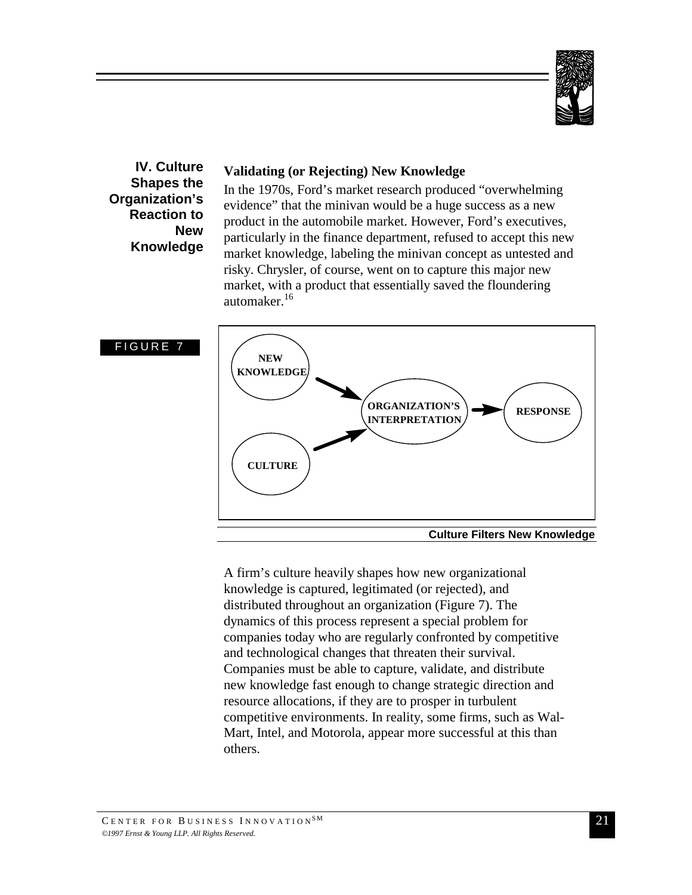

**IV. Culture Shapes the Organization's Reaction to New Knowledge**

## **Validating (or Rejecting) New Knowledge**

In the 1970s, Ford's market research produced "overwhelming evidence" that the minivan would be a huge success as a new product in the automobile market. However, Ford's executives, particularly in the finance department, refused to accept this new market knowledge, labeling the minivan concept as untested and risky. Chrysler, of course, went on to capture this major new market, with a product that essentially saved the floundering automaker.<sup>16</sup>



A firm's culture heavily shapes how new organizational knowledge is captured, legitimated (or rejected), and distributed throughout an organization (Figure 7). The dynamics of this process represent a special problem for companies today who are regularly confronted by competitive and technological changes that threaten their survival. Companies must be able to capture, validate, and distribute new knowledge fast enough to change strategic direction and resource allocations, if they are to prosper in turbulent competitive environments. In reality, some firms, such as Wal-Mart, Intel, and Motorola, appear more successful at this than others.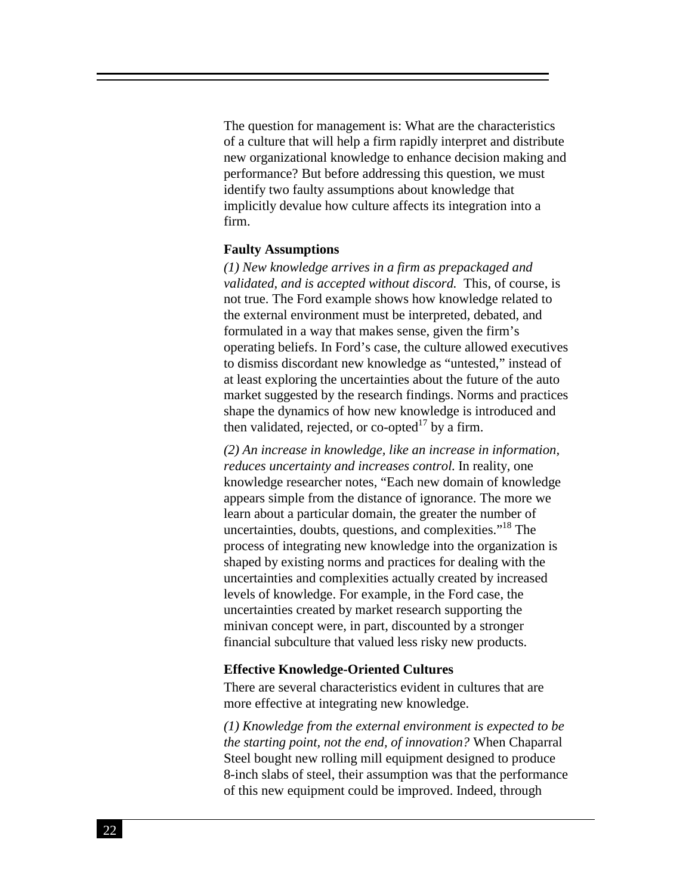The question for management is: What are the characteristics of a culture that will help a firm rapidly interpret and distribute new organizational knowledge to enhance decision making and performance? But before addressing this question, we must identify two faulty assumptions about knowledge that implicitly devalue how culture affects its integration into a firm.

#### **Faulty Assumptions**

*(1) New knowledge arrives in a firm as prepackaged and validated, and is accepted without discord.* This, of course, is not true. The Ford example shows how knowledge related to the external environment must be interpreted, debated, and formulated in a way that makes sense, given the firm's operating beliefs. In Ford's case, the culture allowed executives to dismiss discordant new knowledge as "untested," instead of at least exploring the uncertainties about the future of the auto market suggested by the research findings. Norms and practices shape the dynamics of how new knowledge is introduced and then validated, rejected, or co-opted $17$  by a firm.

*(2) An increase in knowledge, like an increase in information, reduces uncertainty and increases control.* In reality, one knowledge researcher notes, "Each new domain of knowledge appears simple from the distance of ignorance. The more we learn about a particular domain, the greater the number of uncertainties, doubts, questions, and complexities."18 The process of integrating new knowledge into the organization is shaped by existing norms and practices for dealing with the uncertainties and complexities actually created by increased levels of knowledge. For example, in the Ford case, the uncertainties created by market research supporting the minivan concept were, in part, discounted by a stronger financial subculture that valued less risky new products.

#### **Effective Knowledge-Oriented Cultures**

There are several characteristics evident in cultures that are more effective at integrating new knowledge.

*(1) Knowledge from the external environment is expected to be the starting point, not the end, of innovation?* When Chaparral Steel bought new rolling mill equipment designed to produce 8-inch slabs of steel, their assumption was that the performance of this new equipment could be improved. Indeed, through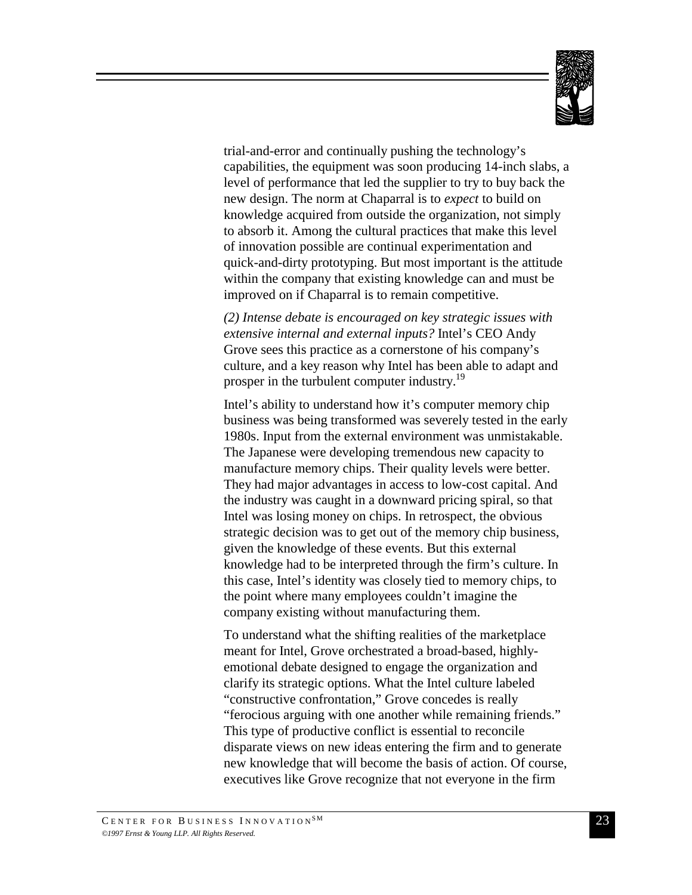

trial-and-error and continually pushing the technology's capabilities, the equipment was soon producing 14-inch slabs, a level of performance that led the supplier to try to buy back the new design. The norm at Chaparral is to *expect* to build on knowledge acquired from outside the organization, not simply to absorb it. Among the cultural practices that make this level of innovation possible are continual experimentation and quick-and-dirty prototyping. But most important is the attitude within the company that existing knowledge can and must be improved on if Chaparral is to remain competitive.

*(2) Intense debate is encouraged on key strategic issues with extensive internal and external inputs?* Intel's CEO Andy Grove sees this practice as a cornerstone of his company's culture, and a key reason why Intel has been able to adapt and prosper in the turbulent computer industry.<sup>19</sup>

Intel's ability to understand how it's computer memory chip business was being transformed was severely tested in the early 1980s. Input from the external environment was unmistakable. The Japanese were developing tremendous new capacity to manufacture memory chips. Their quality levels were better. They had major advantages in access to low-cost capital. And the industry was caught in a downward pricing spiral, so that Intel was losing money on chips. In retrospect, the obvious strategic decision was to get out of the memory chip business, given the knowledge of these events. But this external knowledge had to be interpreted through the firm's culture. In this case, Intel's identity was closely tied to memory chips, to the point where many employees couldn't imagine the company existing without manufacturing them.

To understand what the shifting realities of the marketplace meant for Intel, Grove orchestrated a broad-based, highlyemotional debate designed to engage the organization and clarify its strategic options. What the Intel culture labeled "constructive confrontation," Grove concedes is really "ferocious arguing with one another while remaining friends." This type of productive conflict is essential to reconcile disparate views on new ideas entering the firm and to generate new knowledge that will become the basis of action. Of course, executives like Grove recognize that not everyone in the firm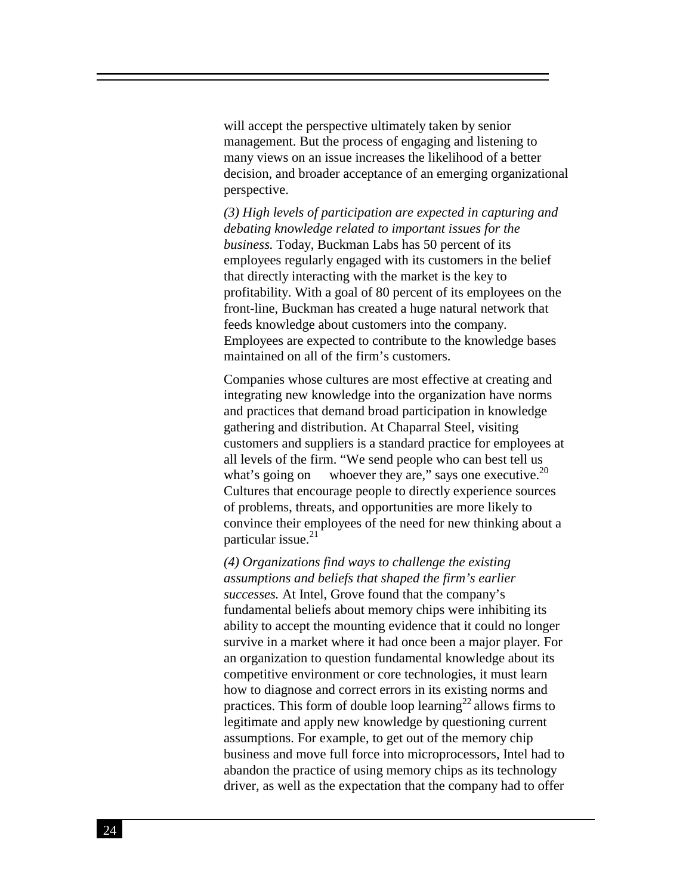will accept the perspective ultimately taken by senior management. But the process of engaging and listening to many views on an issue increases the likelihood of a better decision, and broader acceptance of an emerging organizational perspective.

*(3) High levels of participation are expected in capturing and debating knowledge related to important issues for the business.* Today, Buckman Labs has 50 percent of its employees regularly engaged with its customers in the belief that directly interacting with the market is the key to profitability. With a goal of 80 percent of its employees on the front-line, Buckman has created a huge natural network that feeds knowledge about customers into the company. Employees are expected to contribute to the knowledge bases maintained on all of the firm's customers.

Companies whose cultures are most effective at creating and integrating new knowledge into the organization have norms and practices that demand broad participation in knowledge gathering and distribution. At Chaparral Steel, visiting customers and suppliers is a standard practice for employees at all levels of the firm. "We send people who can best tell us what's going on — whoever they are," says one executive.<sup>20</sup> Cultures that encourage people to directly experience sources of problems, threats, and opportunities are more likely to convince their employees of the need for new thinking about a particular issue. $21$ 

*(4) Organizations find ways to challenge the existing assumptions and beliefs that shaped the firm's earlier successes.* At Intel, Grove found that the company's fundamental beliefs about memory chips were inhibiting its ability to accept the mounting evidence that it could no longer survive in a market where it had once been a major player. For an organization to question fundamental knowledge about its competitive environment or core technologies, it must learn how to diagnose and correct errors in its existing norms and practices. This form of double loop learning<sup>22</sup> allows firms to legitimate and apply new knowledge by questioning current assumptions. For example, to get out of the memory chip business and move full force into microprocessors, Intel had to abandon the practice of using memory chips as its technology driver, as well as the expectation that the company had to offer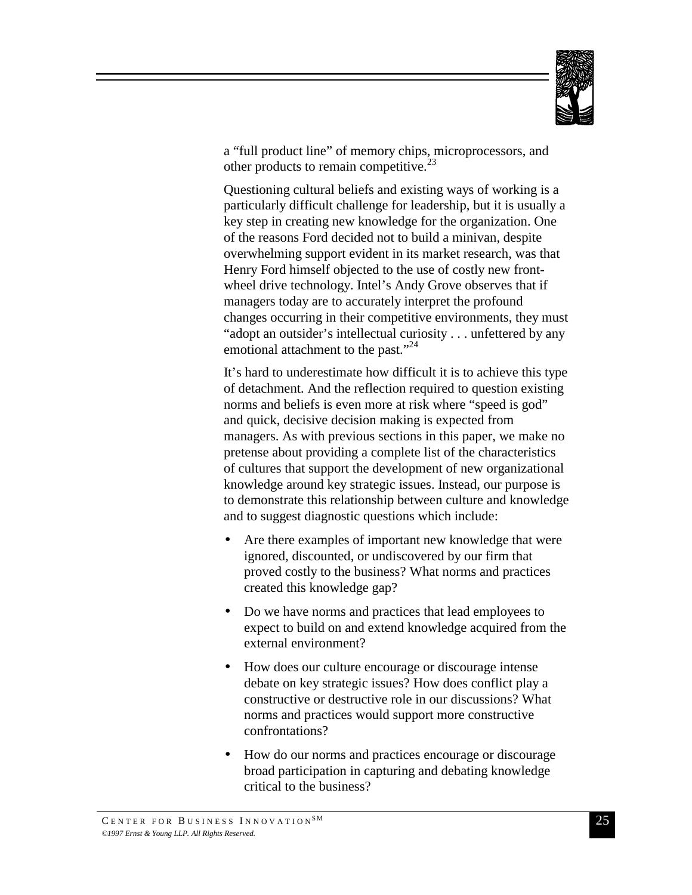

a "full product line" of memory chips, microprocessors, and other products to remain competitive.<sup>23</sup>

Questioning cultural beliefs and existing ways of working is a particularly difficult challenge for leadership, but it is usually a key step in creating new knowledge for the organization. One of the reasons Ford decided not to build a minivan, despite overwhelming support evident in its market research, was that Henry Ford himself objected to the use of costly new frontwheel drive technology. Intel's Andy Grove observes that if managers today are to accurately interpret the profound changes occurring in their competitive environments, they must "adopt an outsider's intellectual curiosity . . . unfettered by any emotional attachment to the past."<sup>24</sup>

It's hard to underestimate how difficult it is to achieve this type of detachment. And the reflection required to question existing norms and beliefs is even more at risk where "speed is god" and quick, decisive decision making is expected from managers. As with previous sections in this paper, we make no pretense about providing a complete list of the characteristics of cultures that support the development of new organizational knowledge around key strategic issues. Instead, our purpose is to demonstrate this relationship between culture and knowledge and to suggest diagnostic questions which include:

- Are there examples of important new knowledge that were ignored, discounted, or undiscovered by our firm that proved costly to the business? What norms and practices created this knowledge gap?
- Do we have norms and practices that lead employees to expect to build on and extend knowledge acquired from the external environment?
- How does our culture encourage or discourage intense debate on key strategic issues? How does conflict play a constructive or destructive role in our discussions? What norms and practices would support more constructive confrontations?
- How do our norms and practices encourage or discourage broad participation in capturing and debating knowledge critical to the business?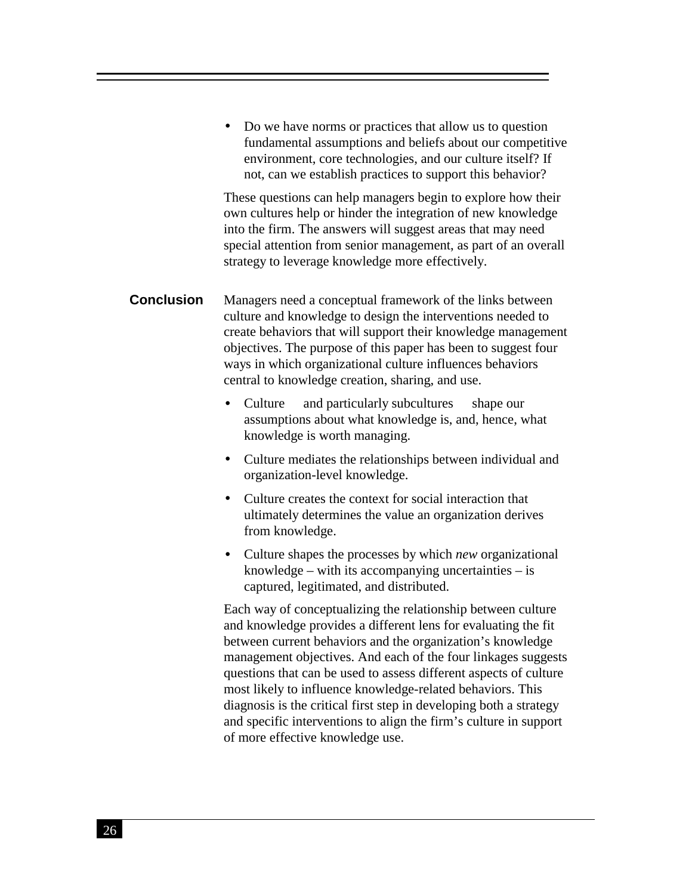• Do we have norms or practices that allow us to question fundamental assumptions and beliefs about our competitive environment, core technologies, and our culture itself? If not, can we establish practices to support this behavior?

These questions can help managers begin to explore how their own cultures help or hinder the integration of new knowledge into the firm. The answers will suggest areas that may need special attention from senior management, as part of an overall strategy to leverage knowledge more effectively.

**Conclusion** Managers need a conceptual framework of the links between culture and knowledge to design the interventions needed to create behaviors that will support their knowledge management objectives. The purpose of this paper has been to suggest four ways in which organizational culture influences behaviors central to knowledge creation, sharing, and use.

- Culture  $-$  and particularly subcultures  $-$  shape our assumptions about what knowledge is, and, hence, what knowledge is worth managing.
- Culture mediates the relationships between individual and organization-level knowledge.
- Culture creates the context for social interaction that ultimately determines the value an organization derives from knowledge.
- Culture shapes the processes by which *new* organizational knowledge – with its accompanying uncertainties – is captured, legitimated, and distributed.

Each way of conceptualizing the relationship between culture and knowledge provides a different lens for evaluating the fit between current behaviors and the organization's knowledge management objectives. And each of the four linkages suggests questions that can be used to assess different aspects of culture most likely to influence knowledge-related behaviors. This diagnosis is the critical first step in developing both a strategy and specific interventions to align the firm's culture in support of more effective knowledge use.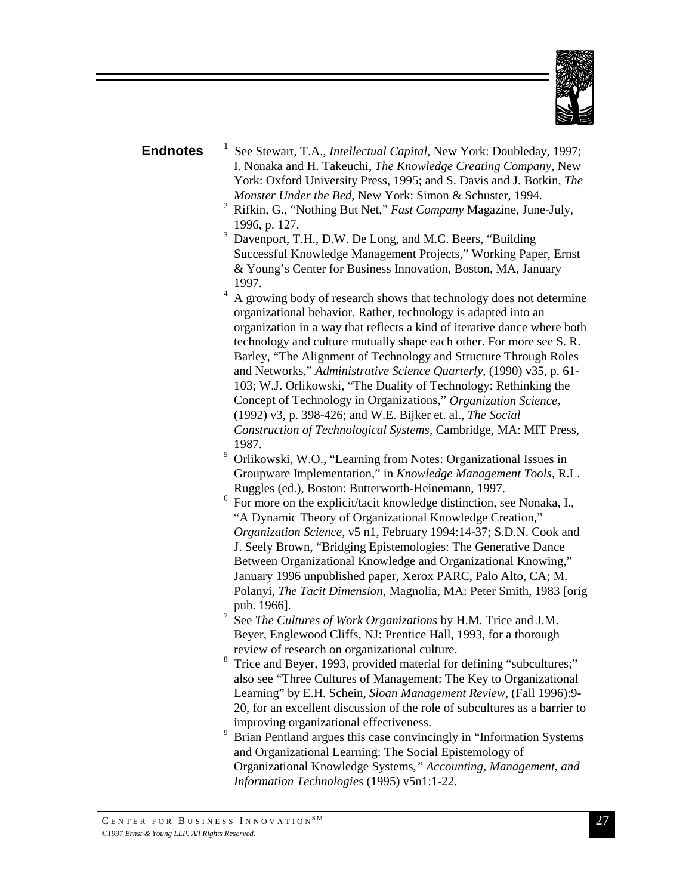

### **Endnotes**

 See Stewart, T.A., *Intellectual Capital*, New York: Doubleday, 1997; I. Nonaka and H. Takeuchi, *The Knowledge Creating Company*, New York: Oxford University Press, 1995; and S. Davis and J. Botkin, *The Monster Under the Bed*, New York: Simon & Schuster, 1994.

- 2 Rifkin, G., "Nothing But Net," *Fast Company* Magazine, June-July, 1996, p. 127.
- 3 Davenport, T.H., D.W. De Long, and M.C. Beers, "Building Successful Knowledge Management Projects," Working Paper, Ernst & Young's Center for Business Innovation, Boston, MA, January 1997.
- 4 A growing body of research shows that technology does not determine organizational behavior. Rather, technology is adapted into an organization in a way that reflects a kind of iterative dance where both technology and culture mutually shape each other. For more see S. R. Barley, "The Alignment of Technology and Structure Through Roles and Networks," *Administrative Science Quarterly*, (1990) v35, p. 61- 103; W.J. Orlikowski, "The Duality of Technology: Rethinking the Concept of Technology in Organizations," *Organization Science*, (1992) v3, p. 398-426; and W.E. Bijker et. al., *The Social Construction of Technological Systems*, Cambridge, MA: MIT Press, 1987.
- 5 Orlikowski, W.O., "Learning from Notes: Organizational Issues in Groupware Implementation," in *Knowledge Management Tools*, R.L. Ruggles (ed.), Boston: Butterworth-Heinemann, 1997.
- 6 For more on the explicit/tacit knowledge distinction, see Nonaka, I., "A Dynamic Theory of Organizational Knowledge Creation," *Organization Science*, v5 n1, February 1994:14-37; S.D.N. Cook and J. Seely Brown, "Bridging Epistemologies: The Generative Dance Between Organizational Knowledge and Organizational Knowing," January 1996 unpublished paper, Xerox PARC, Palo Alto, CA; M. Polanyi, *The Tacit Dimension*, Magnolia, MA: Peter Smith, 1983 [orig pub. 1966].
- 7 See *The Cultures of Work Organizations* by H.M. Trice and J.M. Beyer, Englewood Cliffs, NJ: Prentice Hall, 1993, for a thorough review of research on organizational culture.
- 8 Trice and Beyer, 1993, provided material for defining "subcultures;" also see "Three Cultures of Management: The Key to Organizational Learning" by E.H. Schein, *Sloan Management Review*, (Fall 1996):9- 20, for an excellent discussion of the role of subcultures as a barrier to improving organizational effectiveness.
- 9 Brian Pentland argues this case convincingly in "Information Systems and Organizational Learning: The Social Epistemology of Organizational Knowledge Systems*," Accounting, Management, and Information Technologies* (1995) v5n1:1-22.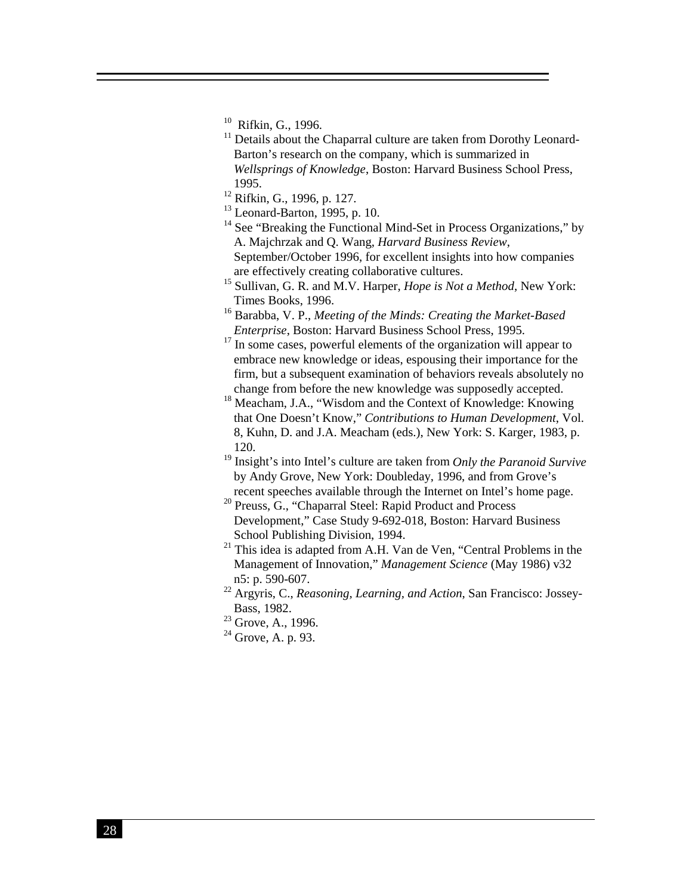- <sup>10</sup> Rifkin, G., 1996.
- $11$  Details about the Chaparral culture are taken from Dorothy Leonard-Barton's research on the company, which is summarized in *Wellsprings of Knowledge*, Boston: Harvard Business School Press, 1995.
- 12 Rifkin, G., 1996, p. 127.
- $13$  Leonard-Barton, 1995, p. 10.
- $14$  See "Breaking the Functional Mind-Set in Process Organizations," by A. Majchrzak and Q. Wang, *Harvard Business Review*, September/October 1996, for excellent insights into how companies are effectively creating collaborative cultures.
- 15 Sullivan, G. R. and M.V. Harper, *Hope is Not a Method*, New York: Times Books, 1996.
- 16 Barabba, V. P., *Meeting of the Minds: Creating the Market-Based Enterprise*, Boston: Harvard Business School Press, 1995.
- $17$  In some cases, powerful elements of the organization will appear to embrace new knowledge or ideas, espousing their importance for the firm, but a subsequent examination of behaviors reveals absolutely no change from before the new knowledge was supposedly accepted.
- <sup>18</sup> Meacham, J.A., "Wisdom and the Context of Knowledge: Knowing that One Doesn't Know," *Contributions to Human Development*, Vol. 8, Kuhn, D. and J.A. Meacham (eds.), New York: S. Karger, 1983, p. 120.
- 19 Insight's into Intel's culture are taken from *Only the Paranoid Survive* by Andy Grove, New York: Doubleday, 1996, and from Grove's recent speeches available through the Internet on Intel's home page.
- <sup>20</sup> Preuss, G., "Chaparral Steel: Rapid Product and Process Development," Case Study 9-692-018, Boston: Harvard Business School Publishing Division, 1994.
- <sup>21</sup> This idea is adapted from A.H. Van de Ven, "Central Problems in the Management of Innovation," *Management Science* (May 1986) v32 n5: p. 590-607.
- 22 Argyris, C., *Reasoning, Learning, and Action*, San Francisco: Jossey-Bass, 1982.
- <sup>23</sup> Grove, A., 1996.
- $^{24}$  Grove, A, p, 93.